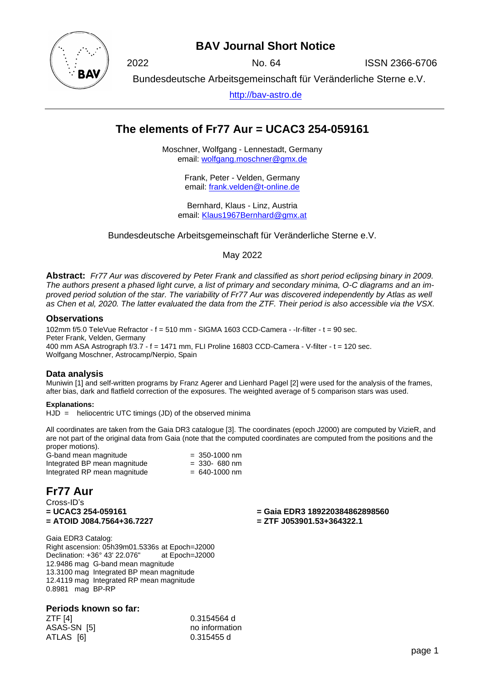

# **BAV Journal Short Notice**

2022 No. 64 ISSN 2366-6706

Bundesdeutsche Arbeitsgemeinschaft für Veränderliche Sterne e.V.

[http://bav-astro.de](http://bav-astro.de/)

# **The elements of Fr77 Aur = UCAC3 254-059161**

Moschner, Wolfgang - Lennestadt, Germany email: [wolfgang.moschner@gmx.de](mailto:wolfgang.moschner@gmx.de)

> Frank, Peter - Velden, Germany email: [frank.velden@t-online.de](mailto:frank.velden@t-online.de)

Bernhard, Klaus - Linz, Austria email: [Klaus1967Bernhard@gmx.at](mailto:Klaus1967Bernhard@gmx.at)

Bundesdeutsche Arbeitsgemeinschaft für Veränderliche Sterne e.V.

May 2022

**Abstract:** *Fr77 Aur was discovered by Peter Frank and classified as short period eclipsing binary in 2009. The authors present a phased light curve, a list of primary and secondary minima, O-C diagrams and an improved period solution of the star. The variability of Fr77 Aur was discovered independently by Atlas as well as Chen et al, 2020. The latter evaluated the data from the ZTF. Their period is also accessible via the VSX.*

## **Observations**

102mm f/5.0 TeleVue Refractor - f = 510 mm - SIGMA 1603 CCD-Camera - -Ir-filter - t = 90 sec. Peter Frank, Velden, Germany 400 mm ASA Astrograph f/3.7 - f = 1471 mm, FLI Proline 16803 CCD-Camera - V-filter - t = 120 sec. Wolfgang Moschner, Astrocamp/Nerpio, Spain

## **Data analysis**

Muniwin [1] and self-written programs by Franz Agerer and Lienhard Pagel [2] were used for the analysis of the frames, after bias, dark and flatfield correction of the exposures. The weighted average of 5 comparison stars was used.

## **Explanations:**

 $HJD =$  heliocentric UTC timings (JD) of the observed minima

All coordinates are taken from the Gaia DR3 catalogue [3]. The coordinates (epoch J2000) are computed by VizieR, and are not part of the original data from Gaia (note that the computed coordinates are computed from the positions and the proper motions).

G-band mean magnitude  $= 350-1000$  nm<br>Integrated BP mean magnitude  $= 330-680$  nm Integrated BP mean magnitude Integrated RP mean magnitude  $= 640-1000$  nm

## **Fr77 Aur**

Cross-ID's **= UCAC3 254-059161 = ATOID J084.7564+36.7227**

**= Gaia EDR3 189220384862898560 = ZTF J053901.53+364322.1**

Gaia EDR3 Catalog: Right ascension: 05h39m01.5336s at Epoch=J2000 Declination: +36° 43′ 22.076" 12.9486 mag G-band mean magnitude 13.3100 mag Integrated BP mean magnitude 12.4119 mag Integrated RP mean magnitude 0.8981 mag BP-RP

## **Periods known so far:**

ZTF [4] 0.3154564 d ASAS-SN [5] no information ATLAS [6] 0.315455 d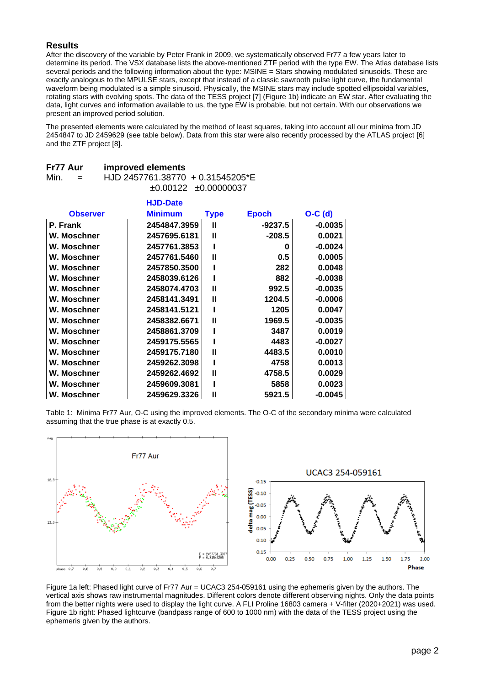## **Results**

After the discovery of the variable by Peter Frank in 2009, we systematically observed Fr77 a few years later to determine its period. The VSX database lists the above-mentioned ZTF period with the type EW. The Atlas database lists several periods and the following information about the type: MSINE = Stars showing modulated sinusoids. These are exactly analogous to the MPULSE stars, except that instead of a classic sawtooth pulse light curve, the fundamental waveform being modulated is a simple sinusoid. Physically, the MSINE stars may include spotted ellipsoidal variables, rotating stars with evolving spots. The data of the TESS project [7] (Figure 1b) indicate an EW star. After evaluating the data, light curves and information available to us, the type EW is probable, but not certain. With our observations we present an improved period solution.

The presented elements were calculated by the method of least squares, taking into account all our minima from JD 2454847 to JD 2459629 (see table below). Data from this star were also recently processed by the ATLAS project [6] and the ZTF project [8].

| FIII AUI |     | IIIIproved elements              |                                |
|----------|-----|----------------------------------|--------------------------------|
| Min.     | $=$ | HJD 2457761.38770 + 0.31545205*E |                                |
|          |     |                                  | $\pm 0.00122$ $\pm 0.00000037$ |

**Fr77 Aur improved elements**

|                 | <b>HJD-Date</b> |             |              |           |
|-----------------|-----------------|-------------|--------------|-----------|
| <b>Observer</b> | <b>Minimum</b>  | <b>Type</b> | <b>Epoch</b> | $O-C$ (d) |
| P. Frank        | 2454847.3959    | Ш           | $-9237.5$    | $-0.0035$ |
| W. Moschner     | 2457695.6181    | Ш           | $-208.5$     | 0.0021    |
| W. Moschner     | 2457761.3853    | ı           | 0            | $-0.0024$ |
| W. Moschner     | 2457761.5460    | Ш           | 0.5          | 0.0005    |
| W. Moschner     | 2457850.3500    | ı           | 282          | 0.0048    |
| W. Moschner     | 2458039.6126    | ı           | 882          | $-0.0038$ |
| W. Moschner     | 2458074.4703    | Ш           | 992.5        | $-0.0035$ |
| W. Moschner     | 2458141.3491    | Ш           | 1204.5       | $-0.0006$ |
| W. Moschner     | 2458141.5121    |             | 1205         | 0.0047    |
| W. Moschner     | 2458382.6671    | Ш           | 1969.5       | $-0.0035$ |
| W. Moschner     | 2458861.3709    |             | 3487         | 0.0019    |
| W. Moschner     | 2459175.5565    |             | 4483         | $-0.0027$ |
| W. Moschner     | 2459175.7180    | Ш           | 4483.5       | 0.0010    |
| W. Moschner     | 2459262.3098    |             | 4758         | 0.0013    |
| W. Moschner     | 2459262.4692    | Ш           | 4758.5       | 0.0029    |
| W. Moschner     | 2459609.3081    |             | 5858         | 0.0023    |
| W. Moschner     | 2459629.3326    | Ш           | 5921.5       | $-0.0045$ |

Table 1: Minima Fr77 Aur, O-C using the improved elements. The O-C of the secondary minima were calculated assuming that the true phase is at exactly 0.5.



Figure 1a left: Phased light curve of Fr77 Aur = UCAC3 254-059161 using the ephemeris given by the authors. The vertical axis shows raw instrumental magnitudes. Different colors denote different observing nights. Only the data points from the better nights were used to display the light curve. A FLI Proline 16803 camera + V-filter (2020+2021) was used. Figure 1b right: Phased lightcurve (bandpass range of 600 to 1000 nm) with the data of the TESS project using the ephemeris given by the authors.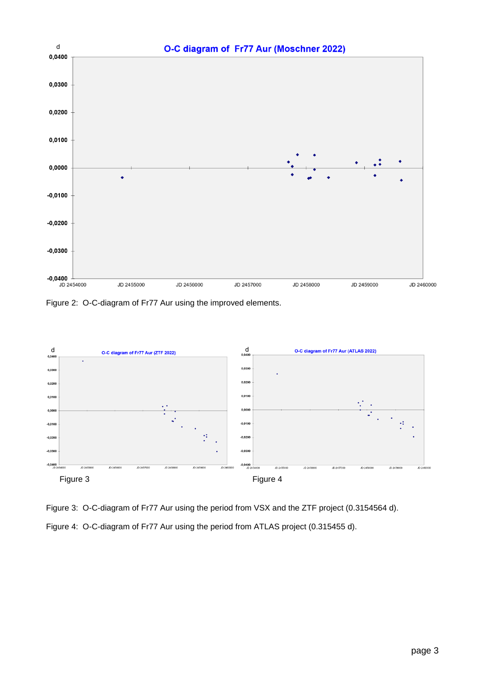

Figure 2: O-C-diagram of Fr77 Aur using the improved elements.



Figure 3: O-C-diagram of Fr77 Aur using the period from VSX and the ZTF project (0.3154564 d). Figure 4: O-C-diagram of Fr77 Aur using the period from ATLAS project (0.315455 d).